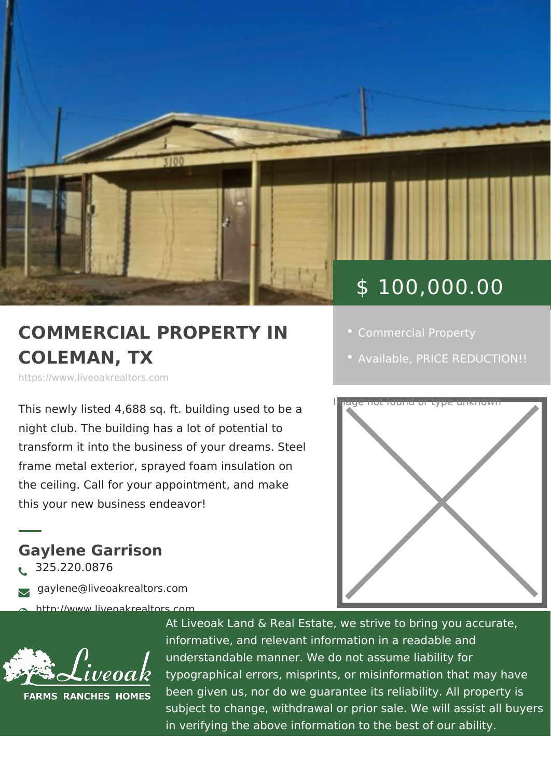## \$ 100,000.00

## COMMERCIAL PROPERTY • [Commercial Pro](https://www.liveoakrealtors.com/es_category/commercial-property/)perty COLEMAN, TX

https://www.liveoakrealtors.com

This newly listed 4,688 sq. ft. building used to be a night club. The building has a lot of potential to transform it into the business of your dreams. Steel frame metal exterior, sprayed foam insulation on the ceiling. Call for your appointment, and make this your new business endeavor!

liveoakrealtors.com

Gaylene Garrison ð• 325.220.0876 ðà gaylene@liveoakrealtors.com

> At Liveoak Land & Real Estate, we strive to brin informative, and relevant information in a reada understandable manner. We do not assume liabil typographical errors, misprints, or misinformatic been given us, nor do we guarantee its reliabilit subject to change, withdrawal or prior sale. We in verifying the above information to the best of

• [Availa](https://www.liveoakrealtors.com/es_status/available/)b PeRICE REDUCTION